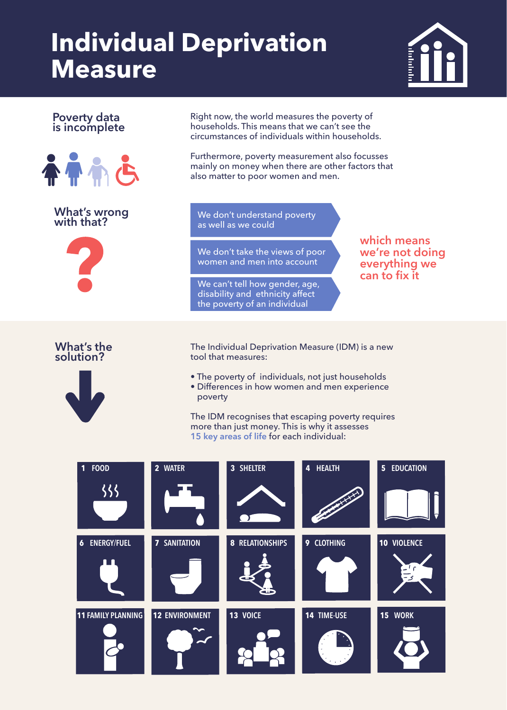## **Individual Deprivation Measure**